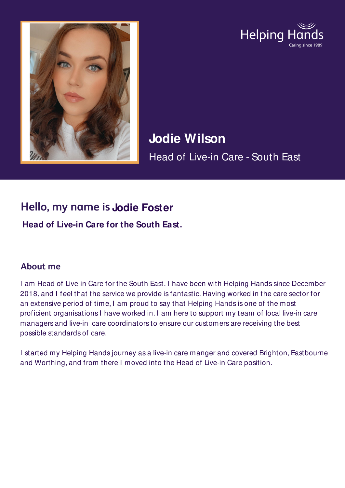



**Jodie Wilson** Head of Live-in Care - South East

## **Hello, my name is Jodie Foster**

**Head of Live-in Care for the South East.**

## **About me**

I am Head of Live-in Care for the South East. I have been with Helping Hands since December 2018, and I feel that the service we provide is fantastic. Having worked in the care sector for an extensive period of time, I am proud to say that Helping Hands is one of the most proficient organisations I have worked in. I am here to support my team of local live-in care managers and live-in care coordinators to ensure our customers are receiving the best possible standards of care.

I started my Helping Hands journey as a live-in care manger and covered Brighton, Eastbourne and Worthing, and from there I moved into the Head of Live-in Care position.